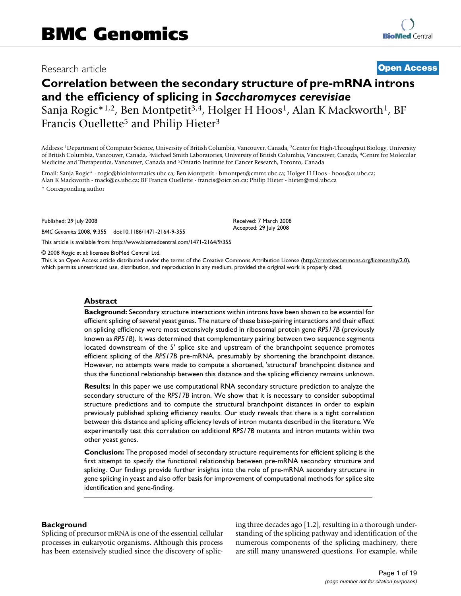# Research article **[Open Access](http://www.biomedcentral.com/info/about/charter/)**

# **Correlation between the secondary structure of pre-mRNA introns and the efficiency of splicing in** *Saccharomyces cerevisiae* Sanja Rogic\*<sup>1,2</sup>, Ben Montpetit<sup>3,4</sup>, Holger H Hoos<sup>1</sup>, Alan K Mackworth<sup>1</sup>, BF Francis Ouellette<sup>5</sup> and Philip Hieter<sup>3</sup>

Address: 1Department of Computer Science, University of British Columbia, Vancouver, Canada, 2Center for High-Throughput Biology, University of British Columbia, Vancouver, Canada, 3Michael Smith Laboratories, University of British Columbia, Vancouver, Canada, 4Centre for Molecular Medicine and Therapeutics, Vancouver, Canada and 5Ontario Institute for Cancer Research, Toronto, Canada

Email: Sanja Rogic\* - rogic@bioinformatics.ubc.ca; Ben Montpetit - bmontpet@cmmt.ubc.ca; Holger H Hoos - hoos@cs.ubc.ca; Alan K Mackworth - mack@cs.ubc.ca; BF Francis Ouellette - francis@oicr.on.ca; Philip Hieter - hieter@msl.ubc.ca

\* Corresponding author

Published: 29 July 2008

*BMC Genomics* 2008, **9**:355 doi:10.1186/1471-2164-9-355

[This article is available from: http://www.biomedcentral.com/1471-2164/9/355](http://www.biomedcentral.com/1471-2164/9/355)

© 2008 Rogic et al; licensee BioMed Central Ltd.

This is an Open Access article distributed under the terms of the Creative Commons Attribution License [\(http://creativecommons.org/licenses/by/2.0\)](http://creativecommons.org/licenses/by/2.0), which permits unrestricted use, distribution, and reproduction in any medium, provided the original work is properly cited.

Received: 7 March 2008 Accepted: 29 July 2008

#### **Abstract**

**Background:** Secondary structure interactions within introns have been shown to be essential for efficient splicing of several yeast genes. The nature of these base-pairing interactions and their effect on splicing efficiency were most extensively studied in ribosomal protein gene *RPS17B* (previously known as *RP51B*). It was determined that complementary pairing between two sequence segments located downstream of the 5' splice site and upstream of the branchpoint sequence promotes efficient splicing of the *RPS17B* pre-mRNA, presumably by shortening the branchpoint distance. However, no attempts were made to compute a shortened, 'structural' branchpoint distance and thus the functional relationship between this distance and the splicing efficiency remains unknown.

**Results:** In this paper we use computational RNA secondary structure prediction to analyze the secondary structure of the *RPS17B* intron. We show that it is necessary to consider suboptimal structure predictions and to compute the structural branchpoint distances in order to explain previously published splicing efficiency results. Our study reveals that there is a tight correlation between this distance and splicing efficiency levels of intron mutants described in the literature. We experimentally test this correlation on additional *RPS17B* mutants and intron mutants within two other yeast genes.

**Conclusion:** The proposed model of secondary structure requirements for efficient splicing is the first attempt to specify the functional relationship between pre-mRNA secondary structure and splicing. Our findings provide further insights into the role of pre-mRNA secondary structure in gene splicing in yeast and also offer basis for improvement of computational methods for splice site identification and gene-finding.

#### **Background**

Splicing of precursor mRNA is one of the essential cellular processes in eukaryotic organisms. Although this process has been extensively studied since the discovery of splicing three decades ago [1,2], resulting in a thorough understanding of the splicing pathway and identification of the numerous components of the splicing machinery, there are still many unanswered questions. For example, while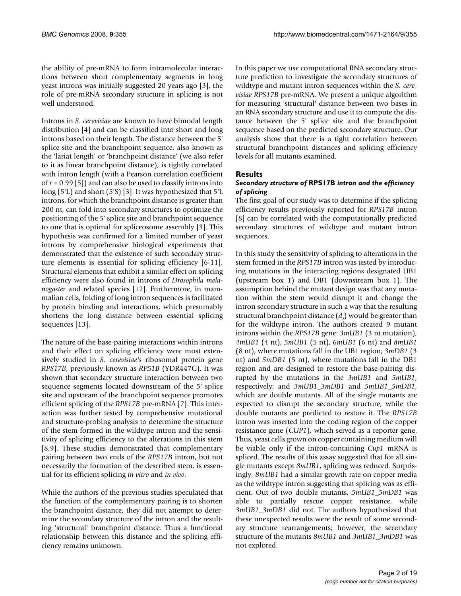the ability of pre-mRNA to form intramolecular interactions between short complementary segments in long yeast introns was initially suggested 20 years ago [3], the role of pre-mRNA secondary structure in splicing is not well understood.

Introns in *S. cerevisiae* are known to have bimodal length distribution [4] and can be classified into short and long introns based on their length. The distance between the 5' splice site and the branchpoint sequence, also known as the 'lariat length' or 'branchpoint distance' (we also refer to it as linear branchpoint distance), is tightly correlated with intron length (with a Pearson correlation coefficient of *r* = 0.99 [5]) and can also be used to classify introns into long (5'L) and short (5'S) [3]. It was hypothesized that 5'L introns, for which the branchpoint distance is greater than 200 nt, can fold into secondary structures to optimize the positioning of the 5' splice site and branchpoint sequence to one that is optimal for spliceosome assembly [3]. This hypothesis was confirmed for a limited number of yeast introns by comprehensive biological experiments that demonstrated that the existence of such secondary structure elements is essential for splicing efficiency [6-11]. Structural elements that exhibit a similar effect on splicing efficiency were also found in introns of *Drosophila melanogaster* and related species [12]. Furthermore, in mammalian cells, folding of long intron sequences is facilitated by protein binding and interactions, which presumably shortens the long distance between essential splicing sequences [13].

The nature of the base-pairing interactions within introns and their effect on splicing efficiency were most extensively studied in *S. cerevisiae's* ribosomal protein gene *RPS17B*, previously known as *RP51B* (YDR447C). It was shown that secondary structure interaction between two sequence segments located downstream of the 5' splice site and upstream of the branchpoint sequence promotes efficient splicing of the *RPS17B* pre-mRNA [7]. This interaction was further tested by comprehensive mutational and structure-probing analysis to determine the structure of the stem formed in the wildtype intron and the sensitivity of splicing efficiency to the alterations in this stem [8,9]. These studies demonstrated that complementary pairing between two ends of the *RPS17B* intron, but not necessarily the formation of the described stem, is essential for its efficient splicing *in vitro* and *in vivo*.

While the authors of the previous studies speculated that the function of the complementary pairing is to shorten the branchpoint distance, they did not attempt to determine the secondary structure of the intron and the resulting 'structural' branchpoint distance. Thus a functional relationship between this distance and the splicing efficiency remains unknown.

In this paper we use computational RNA secondary structure prediction to investigate the secondary structures of wildtype and mutant intron sequences within the *S. cerevisiae RPS17B* pre-mRNA. We present a unique algorithm for measuring 'structural' distance between two bases in an RNA secondary structure and use it to compute the distance between the 5' splice site and the branchpoint sequence based on the predicted secondary structure. Our analysis show that there is a tight correlation between structural branchpoint distances and splicing efficiency levels for all mutants examined.

# **Results**

#### *Secondary structure of* **RPS17B** *intron and the efficiency of splicing*

The first goal of our study was to determine if the splicing efficiency results previously reported for *RPS17B* intron [8] can be correlated with the computationally predicted secondary structures of wildtype and mutant intron sequences.

In this study the sensitivity of splicing to alterations in the stem formed in the *RPS17B* intron was tested by introducing mutations in the interacting regions designated UB1 (upstream box 1) and DB1 (downstream box 1). The assumption behind the mutant design was that any mutation within the stem would disrupt it and change the intron secondary structure in such a way that the resulting structural branchpoint distance (*ds* ) would be greater than for the wildtype intron. The authors created 9 mutant introns within the *RPS17B* gene: *3mUB1* (3 nt mutation), *4mUB1* (4 nt), *5mUB1* (5 nt), *6mUB1* (6 nt) and *8mUB1* (8 nt), where mutations fall in the UB1 region; *3mDB1* (3 nt) and *5mDB1* (5 nt), where mutations fall in the DB1 region and are designed to restore the base-pairing disrupted by the mutations in the *3mUB1* and *5mUB1*, respectively; and *3mUB1\_3mDB1* and *5mUB1\_5mDB1*, which are double mutants. All of the single mutants are expected to disrupt the secondary structure, while the double mutants are predicted to restore it. The *RPS17B* intron was inserted into the coding region of the copper resistance gene (*CUP1*), which served as a reporter gene. Thus, yeast cells grown on copper containing medium will be viable only if the intron-containing *Cup1* mRNA is spliced. The results of this assay suggested that for all single mutants except *8mUB1*, splicing was reduced. Surprisingly, *8mUB1* had a similar growth rate on copper media as the wildtype intron suggesting that splicing was as efficient. Out of two double mutants, *5mUB1\_5mDB1* was able to partially rescue copper resistance, while *3mUB1\_3mDB1* did not. The authors hypothesized that these unexpected results were the result of some secondary structure rearrangements; however, the secondary structure of the mutants *8mUB1* and *3mUB1\_3mDB1* was not explored.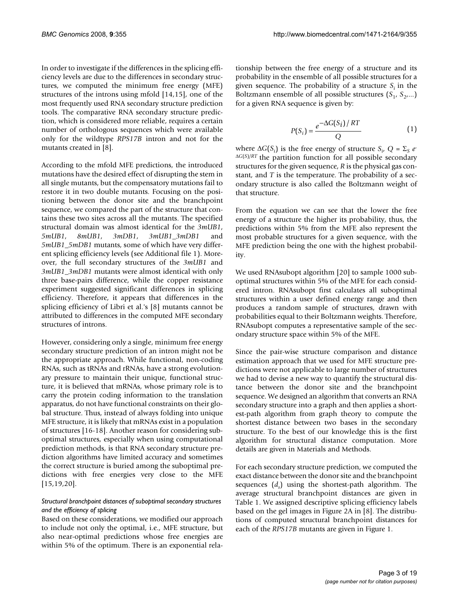In order to investigate if the differences in the splicing efficiency levels are due to the differences in secondary structures, we computed the minimum free energy (MFE) structures of the introns using mfold [14,15], one of the most frequently used RNA secondary structure prediction tools. The comparative RNA secondary structure prediction, which is considered more reliable, requires a certain number of orthologous sequences which were available only for the wildtype *RPS17B* intron and not for the mutants created in [8].

According to the mfold MFE predictions, the introduced mutations have the desired effect of disrupting the stem in all single mutants, but the compensatory mutations fail to restore it in two double mutants. Focusing on the positioning between the donor site and the branchpoint sequence, we compared the part of the structure that contains these two sites across all the mutants. The specified structural domain was almost identical for the *3mUB1*, *5mUB1*, *8mUB1*, *3mDB1*, *3mUB1\_3mDB1* and *5mUB1\_5mDB1* mutants, some of which have very different splicing efficiency levels (see Additional file 1). Moreover, the full secondary structures of the *3mUB1* and *3mUB1\_3mDB1* mutants were almost identical with only three base-pairs difference, while the copper resistance experiment suggested significant differences in splicing efficiency. Therefore, it appears that differences in the splicing efficiency of Libri et al.'s [8] mutants cannot be attributed to differences in the computed MFE secondary structures of introns.

However, considering only a single, minimum free energy secondary structure prediction of an intron might not be the appropriate approach. While functional, non-coding RNAs, such as tRNAs and rRNAs, have a strong evolutionary pressure to maintain their unique, functional structure, it is believed that mRNAs, whose primary role is to carry the protein coding information to the translation apparatus, do not have functional constraints on their global structure. Thus, instead of always folding into unique MFE structure, it is likely that mRNAs exist in a population of structures [16-18]. Another reason for considering suboptimal structures, especially when using computational prediction methods, is that RNA secondary structure prediction algorithms have limited accuracy and sometimes the correct structure is buried among the suboptimal predictions with free energies very close to the MFE [15,19,20].

# *Structural branchpoint distances of suboptimal secondary structures and the efficiency of splicing*

Based on these considerations, we modified our approach to include not only the optimal, i.e., MFE structure, but also near-optimal predictions whose free energies are within 5% of the optimum. There is an exponential relationship between the free energy of a structure and its probability in the ensemble of all possible structures for a given sequence. The probability of a structure  $S_i$  in the Boltzmann ensemble of all possible structures  $(S_1, S_2,...)$ for a given RNA sequence is given by:

$$
P(S_i) = \frac{e^{-\Delta G(S_i)/RT}}{Q}
$$
 (1)

where  $\Delta G(S_i)$  is the free energy of structure  $S_i$ ,  $Q = \Sigma_S e^-$ <sup>Δ</sup>*G*(*S*)/*RT* the partition function for all possible secondary structures for the given sequence, *R* is the physical gas constant, and *T* is the temperature. The probability of a secondary structure is also called the Boltzmann weight of that structure.

From the equation we can see that the lower the free energy of a structure the higher its probability, thus, the predictions within 5% from the MFE also represent the most probable structures for a given sequence, with the MFE prediction being the one with the highest probability.

We used RNAsubopt algorithm [20] to sample 1000 suboptimal structures within 5% of the MFE for each considered intron. RNAsubopt first calculates all suboptimal structures within a user defined energy range and then produces a random sample of structures, drawn with probabilities equal to their Boltzmann weights. Therefore, RNAsubopt computes a representative sample of the secondary structure space within 5% of the MFE.

Since the pair-wise structure comparison and distance estimation approach that we used for MFE structure predictions were not applicable to large number of structures we had to devise a new way to quantify the structural distance between the donor site and the branchpoint sequence. We designed an algorithm that converts an RNA secondary structure into a graph and then applies a shortest-path algorithm from graph theory to compute the shortest distance between two bases in the secondary structure. To the best of our knowledge this is the first algorithm for structural distance computation. More details are given in Materials and Methods.

For each secondary structure prediction, we computed the exact distance between the donor site and the branchpoint sequences (*ds* ) using the shortest-path algorithm. The average structural branchpoint distances are given in Table 1. We assigned descriptive splicing efficiency labels based on the gel images in Figure 2A in [8]. The distributions of computed structural branchpoint distances for each of the *RPS17B* mutants are given in Figure 1.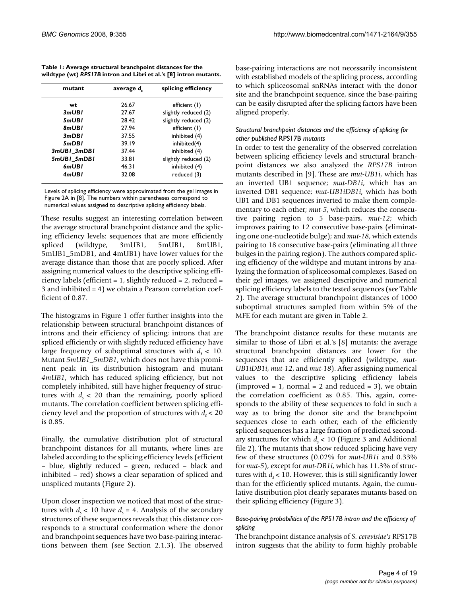| Table 1: Average structural branchpoint distances for the          |  |
|--------------------------------------------------------------------|--|
| wildtype (wt) RPS17B intron and Libri et al.'s [8] intron mutants. |  |

| mutant      | average d. | splicing efficiency  |
|-------------|------------|----------------------|
| wt          | 26.67      | efficient (1)        |
| 3mUBI       | 27.67      | slightly reduced (2) |
| 5mUBI       | 28.42      | slightly reduced (2) |
| 8mUBI       | 27.94      | efficient (1)        |
| 3mDBI       | 37.55      | inhibited (4)        |
| 5mDBI       | 39.19      | inhibited(4)         |
| 3mUBI 3mDBI | 37.44      | inhibited (4)        |
| 5mUBI 5mDBI | 33.81      | slightly reduced (2) |
| 6mUBI       | 46.31      | inhibited (4)        |
| 4mUBI       | 32.08      | reduced (3)          |

Levels of splicing efficiency were approximated from the gel images in Figure 2A in [8]. The numbers within parentheses correspond to numerical values assigned to descriptive splicing efficiency labels.

These results suggest an interesting correlation between the average structural branchpoint distance and the splicing efficiency levels: sequences that are more efficiently spliced (wildtype, 3mUB1, 5mUB1, 8mUB1, 5mUB1\_5mDB1, and 4mUB1) have lower values for the average distance than those that are poorly spliced. After assigning numerical values to the descriptive splicing efficiency labels (efficient = 1, slightly reduced = 2, reduced = 3 and inhibited = 4) we obtain a Pearson correlation coefficient of 0.87.

The histograms in Figure 1 offer further insights into the relationship between structural branchpoint distances of introns and their efficiency of splicing; introns that are spliced efficiently or with slightly reduced efficiency have large frequency of suboptimal structures with  $d_s < 10$ . Mutant *5mUB1\_5mDB1*, which does not have this prominent peak in its distribution histogram and mutant *4mUB1*, which has reduced splicing efficiency, but not completely inhibited, still have higher frequency of structures with  $d_{s}$  < 20 than the remaining, poorly spliced mutants. The correlation coefficient between splicing efficiency level and the proportion of structures with  $d_{s}$  < 20 is 0.85.

Finally, the cumulative distribution plot of structural branchpoint distances for all mutants, where lines are labeled according to the splicing efficiency levels (efficient – blue, slightly reduced – green, reduced – black and inhibited – red) shows a clear separation of spliced and unspliced mutants (Figure 2).

Upon closer inspection we noticed that most of the structures with  $d_s < 10$  have  $d_s = 4$ . Analysis of the secondary structures of these sequences reveals that this distance corresponds to a structural conformation where the donor and branchpoint sequences have two base-pairing interactions between them (see Section 2.1.3). The observed

base-pairing interactions are not necessarily inconsistent with established models of the splicing process, according to which spliceosomal snRNAs interact with the donor site and the branchpoint sequence, since the base-pairing can be easily disrupted after the splicing factors have been aligned properly.

#### *Structural branchpoint distances and the efficiency of splicing for other published* RPS17B *mutants*

In order to test the generality of the observed correlation between splicing efficiency levels and structural branchpoint distances we also analyzed the *RPS17B* intron mutants described in [9]. These are *mut-UB1i*, which has an inverted UB1 sequence; *mut-DB1i*, which has an inverted DB1 sequence; *mut*-*UB1iDB1i*, which has both UB1 and DB1 sequences inverted to make them complementary to each other; *mut-5*, which reduces the consecutive pairing region to 5 base-pairs, *mut-12*; which improves pairing to 12 consecutive base-pairs (eliminating one one-nucleotide bulge); and *mut-18*, which extends pairing to 18 consecutive base-pairs (eliminating all three bulges in the pairing region). The authors compared splicing efficiency of the wildtype and mutant introns by analyzing the formation of spliceosomal complexes. Based on their gel images, we assigned descriptive and numerical splicing efficiency labels to the tested sequences (see Table 2). The average structural branchpoint distances of 1000 suboptimal structures sampled from within 5% of the MFE for each mutant are given in Table 2.

The branchpoint distance results for these mutants are similar to those of Libri et al.'s [8] mutants; the average structural branchpoint distances are lower for the sequences that are efficiently spliced (wildtype, *mut-UB1iDB1i*, *mut-12*, and *mut-18*). After assigning numerical values to the descriptive splicing efficiency labels  $(improved = 1, normal = 2 and reduced = 3), we obtain$ the correlation coefficient as 0.85. This, again, corresponds to the ability of these sequences to fold in such a way as to bring the donor site and the branchpoint sequences close to each other; each of the efficiently spliced sequences has a large fraction of predicted secondary structures for which  $d_{s}$  < 10 (Figure 3 and Additional file 2). The mutants that show reduced splicing have very few of these structures (0.02% for *mut-UB1i* and 0.33% for *mut-5*), except for *mut-DB1i*, which has 11.3% of structures with  $d_s$  < 10. However, this is still significantly lower than for the efficiently spliced mutants. Again, the cumulative distribution plot clearly separates mutants based on their splicing efficiency (Figure 3).

#### *Base-pairing probabilities of the RPS17B intron and the efficiency of splicing*

The branchpoint distance analysis of *S. cerevisiae's* RPS17B intron suggests that the ability to form highly probable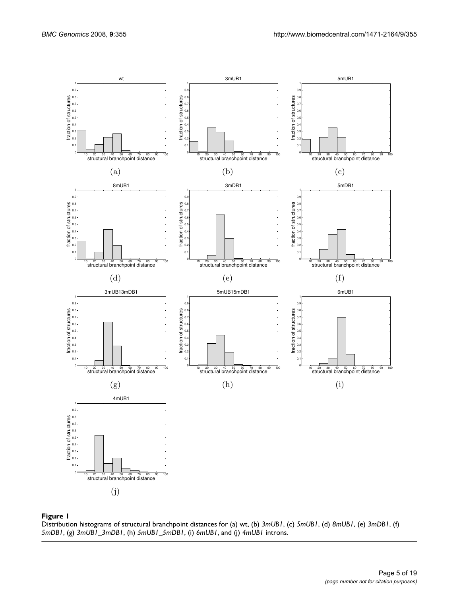



Distribution histograms of structural branchpoint distances for (a) wt, (b) *3mUB1*, (c) *5mUB1*, (d) *8mUB1*, (e) *3mDB1*, (f) *5mDB1*, (g) *3mUB1\_3mDB1*, (h) *5mUB1\_5mDB1*, (i) *6mUB1*, and (j) *4mUB1* introns.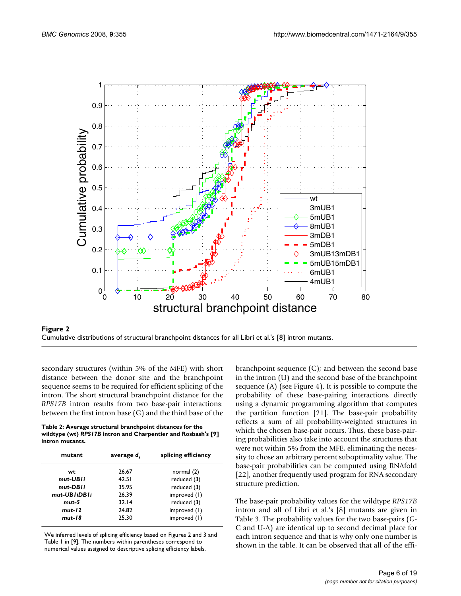



secondary structures (within 5% of the MFE) with short distance between the donor site and the branchpoint sequence seems to be required for efficient splicing of the intron. The short structural branchpoint distance for the *RPS17B* intron results from two base-pair interactions: between the first intron base (G) and the third base of the

| Table 2: Average structural branchpoint distances for the     |
|---------------------------------------------------------------|
| wildtype (wt) RPS17B intron and Charpentier and Rosbash's [9] |
| intron mutants.                                               |

| mutant       | average d. | splicing efficiency |
|--------------|------------|---------------------|
| wt           | 26.67      | normal $(2)$        |
| mut-UBIi     | 42.51      | reduced (3)         |
| mut-DBIi     | 35.95      | reduced (3)         |
| mut-UBIiDBIi | 26.39      | improved (1)        |
| mut-5        | 32.14      | reduced (3)         |
| $mut-12$     | 24.82      | improved (1)        |
| mut-18       | 25.30      | improved (1)        |

We inferred levels of splicing efficiency based on Figures 2 and 3 and Table 1 in [9]. The numbers within parentheses correspond to numerical values assigned to descriptive splicing efficiency labels.

branchpoint sequence (C); and between the second base in the intron (U) and the second base of the branchpoint sequence (A) (see Figure 4). It is possible to compute the probability of these base-pairing interactions directly using a dynamic programming algorithm that computes the partition function [21]. The base-pair probability reflects a sum of all probability-weighted structures in which the chosen base-pair occurs. Thus, these base-pairing probabilities also take into account the structures that were not within 5% from the MFE, eliminating the necessity to chose an arbitrary percent suboptimality value. The base-pair probabilities can be computed using RNAfold [22], another frequently used program for RNA secondary structure prediction.

The base-pair probability values for the wildtype *RPS17B* intron and all of Libri et al.'s [8] mutants are given in Table 3. The probability values for the two base-pairs (G-C and U-A) are identical up to second decimal place for each intron sequence and that is why only one number is shown in the table. It can be observed that all of the effi-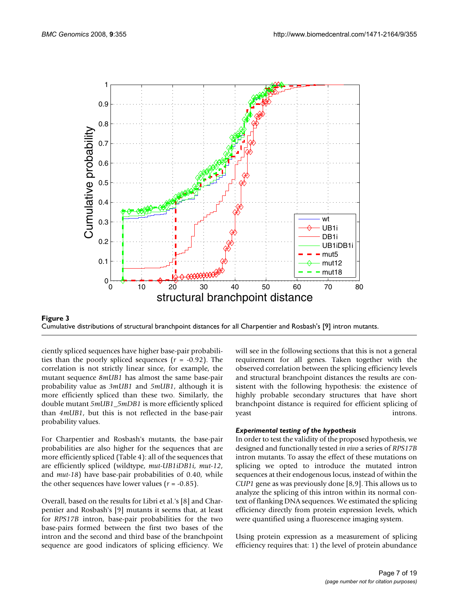

**Figure 3** Cumulative distributions of structural branchpoint distances for all Charpentier and Rosbash's [9] intron mutants Cumulative distributions of structural branchpoint distances for all Charpentier and Rosbash's [9] intron mutants.

ciently spliced sequences have higher base-pair probabilities than the poorly spliced sequences (*r* = -0.92). The correlation is not strictly linear since, for example, the mutant sequence *8mUB1* has almost the same base-pair probability value as *3mUB1* and *5mUB1*, although it is more efficiently spliced than these two. Similarly, the double mutant *5mUB1\_5mDB1* is more efficiently spliced than *4mUB1*, but this is not reflected in the base-pair probability values.

For Charpentier and Rosbash's mutants, the base-pair probabilities are also higher for the sequences that are more efficiently spliced (Table 4): all of the sequences that are efficiently spliced (wildtype, *mut-UB1iDB1i*, *mut-12*, and *mut-18*) have base-pair probabilities of 0.40, while the other sequences have lower values  $(r = -0.85)$ .

Overall, based on the results for Libri et al.'s [8] and Charpentier and Rosbash's [9] mutants it seems that, at least for *RPS17B* intron, base-pair probabilities for the two base-pairs formed between the first two bases of the intron and the second and third base of the branchpoint sequence are good indicators of splicing efficiency. We will see in the following sections that this is not a general requirement for all genes. Taken together with the observed correlation between the splicing efficiency levels and structural branchpoint distances the results are consistent with the following hypothesis: the existence of highly probable secondary structures that have short branchpoint distance is required for efficient splicing of yeast introns.

# *Experimental testing of the hypothesis*

In order to test the validity of the proposed hypothesis, we designed and functionally tested *in vivo* a series of *RPS17B* intron mutants. To assay the effect of these mutations on splicing we opted to introduce the mutated intron sequences at their endogenous locus, instead of within the *CUP1* gene as was previously done [8,9]. This allows us to analyze the splicing of this intron within its normal context of flanking DNA sequences. We estimated the splicing efficiency directly from protein expression levels, which were quantified using a fluorescence imaging system.

Using protein expression as a measurement of splicing efficiency requires that: 1) the level of protein abundance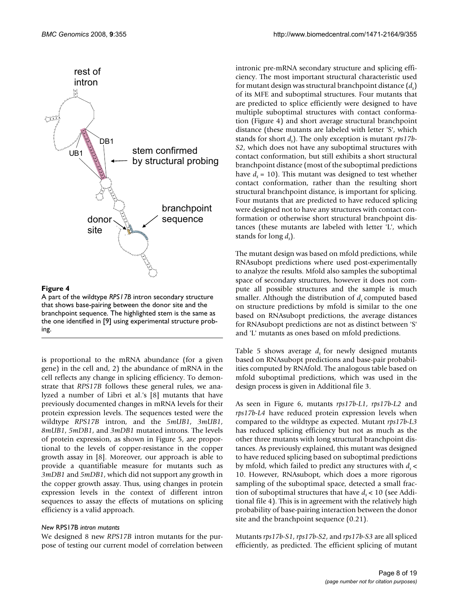

# Figure 4

A part of the wildtype *RPS17B* intron secondary structure that shows base-pairing between the donor site and the branchpoint sequence. The highlighted stem is the same as the one identified in [9] using experimental structure probing.

is proportional to the mRNA abundance (for a given gene) in the cell and, 2) the abundance of mRNA in the cell reflects any change in splicing efficiency. To demonstrate that *RPS17B* follows these general rules, we analyzed a number of Libri et al.'s [8] mutants that have previously documented changes in mRNA levels for their protein expression levels. The sequences tested were the wildtype *RPS17B* intron, and the *5mUB1*, *3mUB1*, *8mUB1*, *5mDB1*, and *3mDB1* mutated introns. The levels of protein expression, as shown in Figure 5, are proportional to the levels of copper-resistance in the copper growth assay in [8]. Moreover, our approach is able to provide a quantifiable measure for mutants such as *3mDB1* and *5mDB1*, which did not support any growth in the copper growth assay. Thus, using changes in protein expression levels in the context of different intron sequences to assay the effects of mutations on splicing efficiency is a valid approach.

# *New* RPS17B *intron mutants*

We designed 8 new *RPS17B* intron mutants for the purpose of testing our current model of correlation between

intronic pre-mRNA secondary structure and splicing efficiency. The most important structural characteristic used for mutant design was structural branchpoint distance (*ds* ) of its MFE and suboptimal structures. Four mutants that are predicted to splice efficiently were designed to have multiple suboptimal structures with contact conformation (Figure 4) and short average structural branchpoint distance (these mutants are labeled with letter 'S', which stands for short *ds* ). The only exception is mutant *rps17b-S2*, which does not have any suboptimal structures with contact conformation, but still exhibits a short structural branchpoint distance (most of the suboptimal predictions have  $d_s = 10$ ). This mutant was designed to test whether contact conformation, rather than the resulting short structural branchpoint distance, is important for splicing. Four mutants that are predicted to have reduced splicing were designed not to have any structures with contact conformation or otherwise short structural branchpoint distances (these mutants are labeled with letter 'L', which stands for long *ds* ).

The mutant design was based on mfold predictions, while RNAsubopt predictions where used post-experimentally to analyze the results. Mfold also samples the suboptimal space of secondary structures, however it does not compute all possible structures and the sample is much smaller. Although the distribution of  $d<sub>s</sub>$  computed based on structure predictions by mfold is similar to the one based on RNAsubopt predictions, the average distances for RNAsubopt predictions are not as distinct between 'S' and 'L' mutants as ones based on mfold predictions.

Table 5 shows average  $d<sub>s</sub>$  for newly designed mutants based on RNAsubopt predictions and base-pair probabilities computed by RNAfold. The analogous table based on mfold suboptimal predictions, which was used in the design process is given in Additional file 3.

As seen in Figure 6, mutants *rps17b-L1*, *rps17b-L2* and *rps17b-L4* have reduced protein expression levels when compared to the wildtype as expected. Mutant *rps17b-L3* has reduced splicing efficiency but not as much as the other three mutants with long structural branchpoint distances. As previously explained, this mutant was designed to have reduced splicing based on suboptimal predictions by mfold, which failed to predict any structures with  $d_{s}$  < 10. However, RNAsubopt, which does a more rigorous sampling of the suboptimal space, detected a small fraction of suboptimal structures that have  $d_{s}$  < 10 (see Additional file 4). This is in agreement with the relatively high probability of base-pairing interaction between the donor site and the branchpoint sequence (0.21).

Mutants *rps17b-S1*, *rps17b-S2*, and *rps17b-S3* are all spliced efficiently, as predicted. The efficient splicing of mutant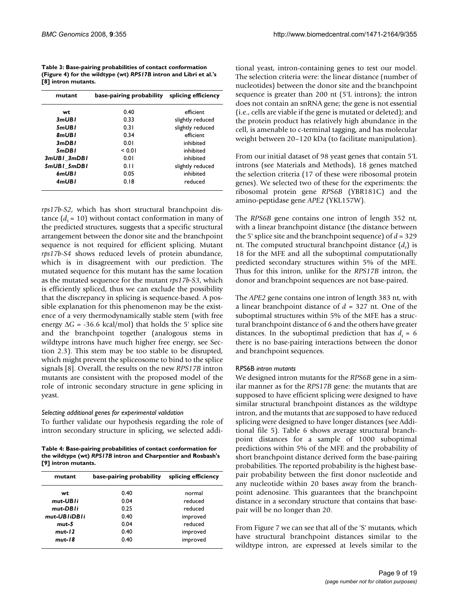**Table 3: Base-pairing probabilities of contact conformation (Figure 4) for the wildtype (wt)** *RPS17B* **intron and Libri et al.'s [8] intron mutants.**

| mutant      | base-pairing probability | splicing efficiency |
|-------------|--------------------------|---------------------|
| wt          | 0.40                     | efficient           |
| 3mUBI       | 0.33                     | slightly reduced    |
| 5mUBI       | 0.31                     | slightly reduced    |
| 8mUBI       | 0.34                     | efficient           |
| 3mDBI       | 0.01                     | inhibited           |
| 5mDBI       | < 0.01                   | inhibited           |
| 3mUBI 3mDBI | 0.01                     | inhibited           |
| 5mUBI 5mDBI | 0.11                     | slightly reduced    |
| 6mUBI       | 0.05                     | inhibited           |
| 4mUBI       | 0.18                     | reduced             |

*rps17b-S2*, which has short structural branchpoint distance  $(d_{s} = 10)$  without contact conformation in many of the predicted structures, suggests that a specific structural arrangement between the donor site and the branchpoint sequence is not required for efficient splicing. Mutant *rps17b-S4* shows reduced levels of protein abundance, which is in disagreement with our prediction. The mutated sequence for this mutant has the same location as the mutated sequence for the mutant *rps17b-S3*, which is efficiently spliced, thus we can exclude the possibility that the discrepancy in splicing is sequence-based. A possible explanation for this phenomenon may be the existence of a very thermodynamically stable stem (with free energy  $\Delta G$  = -36.6 kcal/mol) that holds the 5' splice site and the branchpoint together (analogous stems in wildtype introns have much higher free energy, see Section 2.3). This stem may be too stable to be disrupted, which might prevent the spliceosome to bind to the splice signals [8]. Overall, the results on the new *RPS17B* intron mutants are consistent with the proposed model of the role of intronic secondary structure in gene splicing in yeast.

#### *Selecting additional genes for experimental validation*

To further validate our hypothesis regarding the role of intron secondary structure in splicing, we selected addi-

**Table 4: Base-pairing probabilities of contact conformation for the wildtype (wt)** *RPS17B* **intron and Charpentier and Rosbash's [9] intron mutants.**

| base-pairing probability | splicing efficiency |
|--------------------------|---------------------|
| 0.40                     | normal              |
| 0.04                     | reduced             |
| 0.25                     | reduced             |
| 0.40                     | improved            |
| 0.04                     | reduced             |
| 0.40                     | improved            |
| 0.40                     | improved            |
|                          |                     |

tional yeast, intron-containing genes to test our model. The selection criteria were: the linear distance (number of nucleotides) between the donor site and the branchpoint sequence is greater than 200 nt (5'L introns); the intron does not contain an snRNA gene; the gene is not essential (i.e., cells are viable if the gene is mutated or deleted); and the protein product has relatively high abundance in the cell, is amenable to c-terminal tagging, and has molecular weight between 20–120 kDa (to facilitate manipulation).

From our initial dataset of 98 yeast genes that contain 5'L introns (see Materials and Methods), 18 genes matched the selection criteria (17 of these were ribosomal protein genes). We selected two of these for the experiments: the ribosomal protein gene *RPS6B* (YBR181C) and the amino-peptidase gene *APE2* (YKL157W).

The *RPS6B* gene contains one intron of length 352 nt, with a linear branchpoint distance (the distance between the 5' splice site and the branchpoint sequence) of *d* = 329 nt. The computed structural branchpoint distance (*ds* ) is 18 for the MFE and all the suboptimal computationally predicted secondary structures within 5% of the MFE. Thus for this intron, unlike for the *RPS17B* intron, the donor and branchpoint sequences are not base-paired.

The *APE2* gene contains one intron of length 383 nt, with a linear branchpoint distance of *d* = 327 nt. One of the suboptimal structures within 5% of the MFE has a structural branchpoint distance of 6 and the others have greater distances. In the suboptimal prediction that has  $d<sub>s</sub> = 6$ there is no base-pairing interactions between the donor and branchpoint sequences.

#### RPS6B *intron mutants*

We designed intron mutants for the *RPS6B* gene in a similar manner as for the *RPS17B* gene: the mutants that are supposed to have efficient splicing were designed to have similar structural branchpoint distances as the wildtype intron, and the mutants that are supposed to have reduced splicing were designed to have longer distances (see Additional file 5). Table 6 shows average structural branchpoint distances for a sample of 1000 suboptimal predictions within 5% of the MFE and the probability of short branchpoint distance derived form the base-pairing probabilities. The reported probability is the highest basepair probability between the first donor nucleotide and any nucleotide within 20 bases away from the branchpoint adenosine. This guarantees that the branchpoint distance in a secondary structure that contains that basepair will be no longer than 20.

From Figure 7 we can see that all of the 'S' mutants, which have structural branchpoint distances similar to the wildtype intron, are expressed at levels similar to the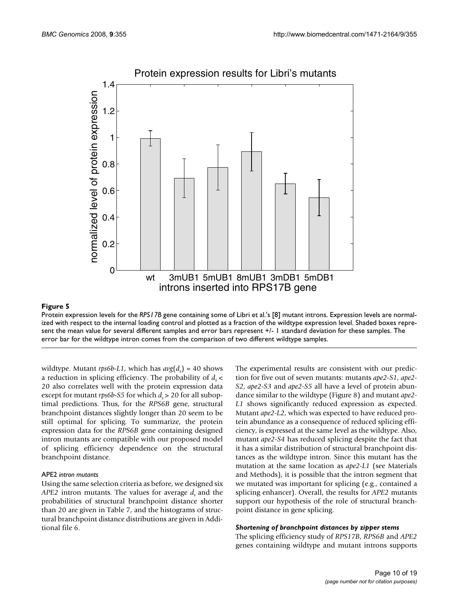

# Protein expression results for Libri's mutants

# Protein expression levels for the **Figure 5** *RPS17B* gene containing some of Libri et al.s [8] mutant introns

Protein expression levels for the *RPS17B* gene containing some of Libri et al.'s [8] mutant introns. Expression levels are normalized with respect to the internal loading control and plotted as a fraction of the wildtype expression level. Shaded boxes represent the mean value for several different samples and error bars represent +/- 1 standard deviation for these samples. The error bar for the wildtype intron comes from the comparison of two different wildtype samples.

wildtype. Mutant *rps6b-L1*, which has  $avg(d_s) = 40$  shows a reduction in splicing efficiency. The probability of  $d_{s}$  < 20 also correlates well with the protein expression data except for mutant *rps6b-S5* for which  $d_s$  > 20 for all suboptimal predictions. Thus, for the *RPS6B* gene, structural branchpoint distances slightly longer than 20 seem to be still optimal for splicing. To summarize, the protein expression data for the *RPS6B* gene containing designed intron mutants are compatible with our proposed model of splicing efficiency dependence on the structural branchpoint distance.

#### APE2 *intron mutants*

Using the same selection criteria as before, we designed six *APE2* intron mutants. The values for average *d*, and the probabilities of structural branchpoint distance shorter than 20 are given in Table 7, and the histograms of structural branchpoint distance distributions are given in Additional file 6.

The experimental results are consistent with our prediction for five out of seven mutants: mutants *ape2-S1*, *ape2- S2*, *ape2-S3* and *ape2-S5* all have a level of protein abundance similar to the wildtype (Figure 8) and mutant *ape2- L1* shows significantly reduced expression as expected. Mutant *ape2-L2*, which was expected to have reduced protein abundance as a consequence of reduced splicing efficiency, is expressed at the same level as the wildtype. Also, mutant *ape2-S4* has reduced splicing despite the fact that it has a similar distribution of structural branchpoint distances as the wildtype intron. Since this mutant has the mutation at the same location as *ape2-L1* (see Materials and Methods), it is possible that the intron segment that we mutated was important for splicing (e.g., contained a splicing enhancer). Overall, the results for *APE2* mutants support our hypothesis of the role of structural branchpoint distance in gene splicing.

# *Shortening of branchpoint distances by zipper stems*

The splicing efficiency study of *RPS17B*, *RPS6B* and *APE2* genes containing wildtype and mutant introns supports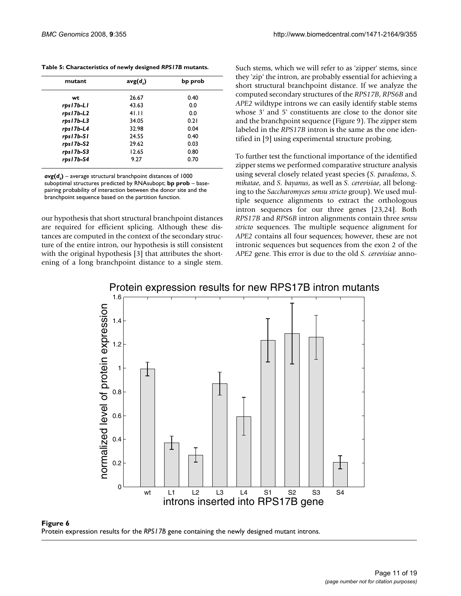| mutant    | avg(d) | bp prob |
|-----------|--------|---------|
| wt        | 26.67  | 0.40    |
| rps17b-L1 | 43.63  | 0.0     |
| rps17b-L2 | 41.11  | 0.0     |
| rps17b-L3 | 34.05  | 0.21    |
| rps17b-L4 | 32.98  | 0.04    |
| rps17b-S1 | 24.55  | 0.40    |
| rps17b-S2 | 29.62  | 0.03    |
| rps17b-S3 | 12.65  | 0.80    |
| rps17b-S4 | 9.27   | 0.70    |

 $avg(d_s)$  – average structural branchpoint distances of 1000 suboptimal structures predicted by RNAsubopt; **bp prob** – basepairing probability of interaction between the donor site and the branchpoint sequence based on the partition function.

our hypothesis that short structural branchpoint distances are required for efficient splicing. Although these distances are computed in the context of the secondary structure of the entire intron, our hypothesis is still consistent with the original hypothesis [3] that attributes the shortening of a long branchpoint distance to a single stem. Such stems, which we will refer to as 'zipper' stems, since they 'zip' the intron, are probably essential for achieving a short structural branchpoint distance. If we analyze the computed secondary structures of the *RPS17B*, *RPS6B* and *APE2* wildtype introns we can easily identify stable stems whose 3' and 5' constituents are close to the donor site and the branchpoint sequence (Figure 9). The zipper stem labeled in the *RPS17B* intron is the same as the one identified in [9] using experimental structure probing.

To further test the functional importance of the identified zipper stems we performed comparative structure analysis using several closely related yeast species (*S. paradoxus*, *S. mikatae*, and *S. bayanus*, as well as *S. cerevisiae*, all belonging to the *Saccharomyces sensu stricto* group). We used multiple sequence alignments to extract the orthologous intron sequences for our three genes [23,24]. Both *RPS17B* and *RPS6B* intron alignments contain three *sensu stricto* sequences. The multiple sequence alignment for *APE2* contains all four sequences; however, these are not intronic sequences but sequences from the exon 2 of the *APE2* gene. This error is due to the old *S. cerevisiae* anno-

# Protein expression results for new RPS17B intron mutants



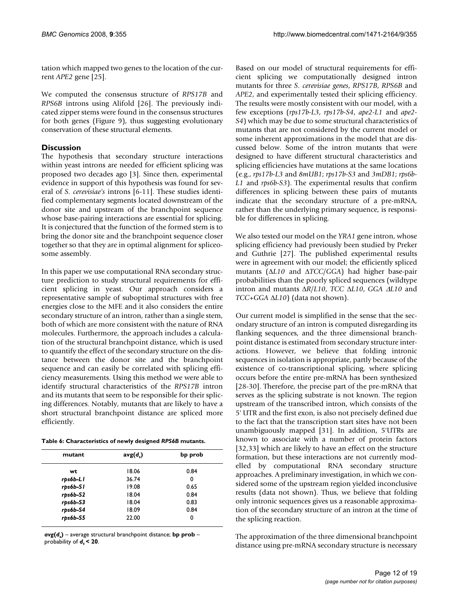tation which mapped two genes to the location of the current *APE2* gene [25].

We computed the consensus structure of *RPS17B* and *RPS6B* introns using Alifold [26]. The previously indicated zipper stems were found in the consensus structures for both genes (Figure 9), thus suggesting evolutionary conservation of these structural elements.

# **Discussion**

The hypothesis that secondary structure interactions within yeast introns are needed for efficient splicing was proposed two decades ago [3]. Since then, experimental evidence in support of this hypothesis was found for several of *S. cerevisiae's* introns [6-11]. These studies identified complementary segments located downstream of the donor site and upstream of the branchpoint sequence whose base-pairing interactions are essential for splicing. It is conjectured that the function of the formed stem is to bring the donor site and the branchpoint sequence closer together so that they are in optimal alignment for spliceosome assembly.

In this paper we use computational RNA secondary structure prediction to study structural requirements for efficient splicing in yeast. Our approach considers a representative sample of suboptimal structures with free energies close to the MFE and it also considers the entire secondary structure of an intron, rather than a single stem, both of which are more consistent with the nature of RNA molecules. Furthermore, the approach includes a calculation of the structural branchpoint distance, which is used to quantify the effect of the secondary structure on the distance between the donor site and the branchpoint sequence and can easily be correlated with splicing efficiency measurements. Using this method we were able to identify structural characteristics of the *RPS17B* intron and its mutants that seem to be responsible for their splicing differences. Notably, mutants that are likely to have a short structural branchpoint distance are spliced more efficiently.

**Table 6: Characteristics of newly designed** *RPS6B* **mutants.**

| mutant   | avg(d) | bp prob |
|----------|--------|---------|
| wt       | 18.06  | 0.84    |
| rps6b-LI | 36.74  | 0       |
| rps6b-SI | 19.08  | 0.65    |
| rps6b-S2 | 18.04  | 0.84    |
| rps6b-S3 | 18.04  | 0.83    |
| rps6b-S4 | 18.09  | 0.84    |
| rps6b-S5 | 22.00  | 0       |

 $avg(d_s)$  – average structural branchpoint distance; **bp prob** – probability of  $d<sub>s</sub> < 20$ .

Based on our model of structural requirements for efficient splicing we computationally designed intron mutants for three *S. cerevisiae genes*, *RPS17B*, *RPS6B* and *APE2*, and experimentally tested their splicing efficiency. The results were mostly consistent with our model, with a few exceptions (*rps17b-L3*, *rps17b-S4*, *ape2-L1* and *ape2- S4*) which may be due to some structural characteristics of mutants that are not considered by the current model or some inherent approximations in the model that are discussed below. Some of the intron mutants that were designed to have different structural characteristics and splicing efficiencies have mutations at the same locations (e.g., *rps17b-L3* and *8mUB1*; *rps17b-S3* and *3mDB1*; *rps6b-L1* and *rps6b-S3*). The experimental results that confirm differences in splicing between these pairs of mutants indicate that the secondary structure of a pre-mRNA, rather than the underlying primary sequence, is responsible for differences in splicing.

We also tested our model on the *YRA1* gene intron, whose splicing efficiency had previously been studied by Preker and Guthrie [27]. The published experimental results were in agreement with our model; the efficiently spliced mutants (Δ*L10* and Δ*TCC*/*GGA*) had higher base-pair probabilities than the poorly spliced sequences (wildtype intron and mutants Δ*R*/*L10*, *TCC* Δ*L10*, *GGA* Δ*L10* and *TCC*+*GGA* Δ*L10*) (data not shown).

Our current model is simplified in the sense that the secondary structure of an intron is computed disregarding its flanking sequences, and the three dimensional branchpoint distance is estimated from secondary structure interactions. However, we believe that folding intronic sequences in isolation is appropriate, partly because of the existence of co-transcriptional splicing, where splicing occurs before the entire pre-mRNA has been synthesized [28-30]. Therefore, the precise part of the pre-mRNA that serves as the splicing substrate is not known. The region upstream of the transcribed intron, which consists of the 5' UTR and the first exon, is also not precisely defined due to the fact that the transcription start sites have not been unambiguously mapped [31]. In addition, 5'UTRs are known to associate with a number of protein factors [32,33] which are likely to have an effect on the structure formation, but these interactions are not currently modelled by computational RNA secondary structure approaches. A preliminary investigation, in which we considered some of the upstream region yielded inconclusive results (data not shown). Thus, we believe that folding only intronic sequences gives us a reasonable approximation of the secondary structure of an intron at the time of the splicing reaction.

The approximation of the three dimensional branchpoint distance using pre-mRNA secondary structure is necessary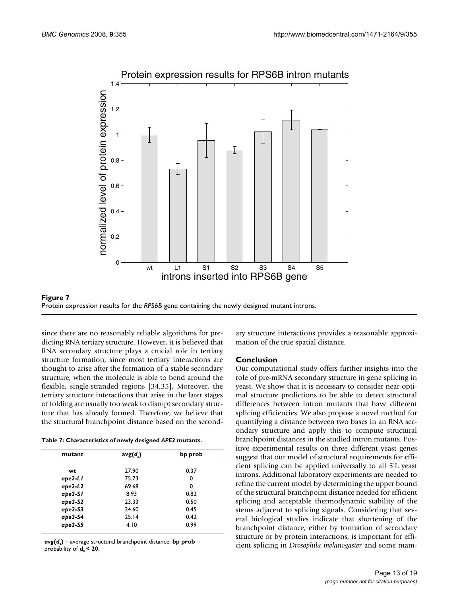

#### Protein expression results for the **Figure 7** *RPS6B* gene containing the newly designed mutant introns Protein expression results for the *RPS6B* gene containing the newly designed mutant introns.

since there are no reasonably reliable algorithms for predicting RNA tertiary structure. However, it is believed that RNA secondary structure plays a crucial role in tertiary structure formation, since most tertiary interactions are thought to arise after the formation of a stable secondary structure, when the molecule is able to bend around the flexible, single-stranded regions [34,35]. Moreover, the tertiary structure interactions that arise in the later stages of folding are usually too weak to disrupt secondary structure that has already formed. Therefore, we believe that the structural branchpoint distance based on the second-

**Table 7: Characteristics of newly designed** *APE2* **mutants.**

| mutant    | avg(d) | bp prob |
|-----------|--------|---------|
| wt        | 27.90  | 0.37    |
| ape2-LI   | 75.73  | 0       |
| $ape2-L2$ | 69.68  | 0       |
| ape2-SI   | 8.93   | 0.82    |
| $ape2-S2$ | 23.33  | 0.50    |
| $ape2-S3$ | 24.60  | 0.45    |
| ape2-S4   | 25.14  | 0.42    |
| $ape2-55$ | 4.10   | 0.99    |

 $avg(d<sub>s</sub>)$  – average structural branchpoint distance; bp prob – probability of **d***s* **< 20**.

ary structure interactions provides a reasonable approximation of the true spatial distance.

# **Conclusion**

Our computational study offers further insights into the role of pre-mRNA secondary structure in gene splicing in yeast. We show that it is necessary to consider near-optimal structure predictions to be able to detect structural differences between intron mutants that have different splicing efficiencies. We also propose a novel method for quantifying a distance between two bases in an RNA secondary structure and apply this to compute structural branchpoint distances in the studied intron mutants. Positive experimental results on three different yeast genes suggest that our model of structural requirements for efficient splicing can be applied universally to all 5'L yeast introns. Additional laboratory experiments are needed to refine the current model by determining the upper bound of the structural branchpoint distance needed for efficient splicing and acceptable thermodynamic stability of the stems adjacent to splicing signals. Considering that several biological studies indicate that shortening of the branchpoint distance, either by formation of secondary structure or by protein interactions, is important for efficient splicing in *Drosophila melanogaster* and some mam-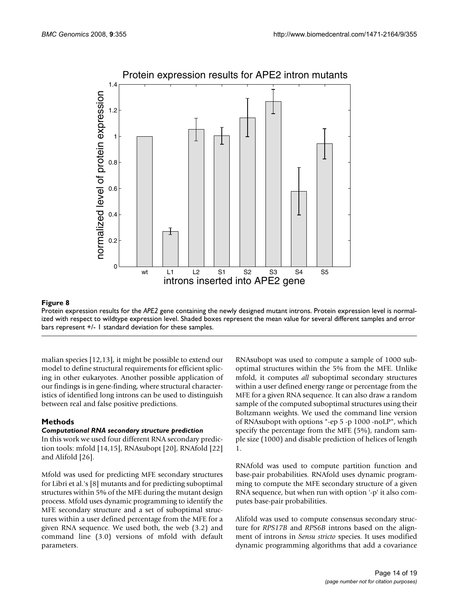

# Protein expression results for the **Figure 8** *APE2* gene containing the newly designed mutant introns

Protein expression results for the *APE2* gene containing the newly designed mutant introns. Protein expression level is normalized with respect to wildtype expression level. Shaded boxes represent the mean value for several different samples and error bars represent +/- 1 standard deviation for these samples.

malian species [12,13], it might be possible to extend our model to define structural requirements for efficient splicing in other eukaryotes. Another possible application of our findings is in gene-finding, where structural characteristics of identified long introns can be used to distinguish between real and false positive predictions.

# **Methods**

#### *Computational RNA secondary structure prediction*

In this work we used four different RNA secondary prediction tools: mfold [14,15], RNAsubopt [20], RNAfold [22] and Alifold [26].

Mfold was used for predicting MFE secondary structures for Libri et al.'s [8] mutants and for predicting suboptimal structures within 5% of the MFE during the mutant design process. Mfold uses dynamic programming to identify the MFE secondary structure and a set of suboptimal structures within a user defined percentage from the MFE for a given RNA sequence. We used both, the web (3.2) and command line (3.0) versions of mfold with default parameters.

RNAsubopt was used to compute a sample of 1000 suboptimal structures within the 5% from the MFE. Unlike mfold, it computes *all* suboptimal secondary structures within a user defined energy range or percentage from the MFE for a given RNA sequence. It can also draw a random sample of the computed suboptimal structures using their Boltzmann weights. We used the command line version of RNAsubopt with options "-ep 5 -p 1000 -noLP", which specify the percentage from the MFE (5%), random sample size (1000) and disable prediction of helices of length 1.

RNAfold was used to compute partition function and base-pair probabilities. RNAfold uses dynamic programming to compute the MFE secondary structure of a given RNA sequence, but when run with option '-p' it also computes base-pair probabilities.

Alifold was used to compute consensus secondary structure for *RPS17B* and *RPS6B* introns based on the alignment of introns in *Sensu stricto* species. It uses modified dynamic programming algorithms that add a covariance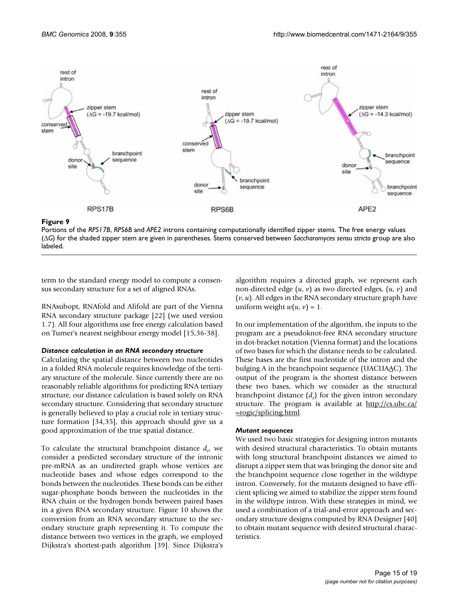

Portions of the *RPS17B*, *RPS6B* and *APE2* introns containing computationally identified zipper stems. The free energy values (Δ*G*) for the shaded zipper stem are given in parentheses. Stems conserved between *Saccharomyces sensu stricto* group are also labeled.

term to the standard energy model to compute a consensus secondary structure for a set of aligned RNAs.

RNAsubopt, RNAfold and Alifold are part of the Vienna RNA secondary structure package [22] (we used version 1.7). All four algorithms use free energy calculation based on Turner's nearest neighbour energy model [15,36-38].

#### *Distance calculation in an RNA secondary structure*

Calculating the spatial distance between two nucleotides in a folded RNA molecule requires knowledge of the tertiary structure of the molecule. Since currently there are no reasonably reliable algorithms for predicting RNA tertiary structure, our distance calculation is based solely on RNA secondary structure. Considering that secondary structure is generally believed to play a crucial role in tertiary structure formation [34,35], this approach should give us a good approximation of the true spatial distance.

To calculate the structural branchpoint distance *ds* , we consider a predicted secondary structure of the intronic pre-mRNA as an undirected graph whose vertices are nucleotide bases and whose edges correspond to the bonds between the nucleotides. These bonds can be either sugar-phosphate bonds between the nucleotides in the RNA chain or the hydrogen bonds between paired bases in a given RNA secondary structure. Figure 10 shows the conversion from an RNA secondary structure to the secondary structure graph representing it. To compute the distance between two vertices in the graph, we employed Dijkstra's shortest-path algorithm [39]. Since Dijkstra's

algorithm requires a directed graph, we represent each non-directed edge (*u*, *v*) as two directed edges, (*u*, *v*) and (*v*, *u*). All edges in the RNA secondary structure graph have uniform weight  $w(u, v) = 1$ .

In our implementation of the algorithm, the inputs to the program are a pseudoknot-free RNA secondary structure in dot-bracket notation (Vienna format) and the locations of two bases for which the distance needs to be calculated. These bases are the first nucleotide of the intron and the bulging A in the branchpoint sequence (UACUA $\Delta$ C). The output of the program is the shortest distance between these two bases, which we consider as the structural branchpoint distance (*d*<sub>s</sub>) for the given intron secondary structure. The program is available at [http://cs.ubc.ca/](http://cs.ubc.ca/~rogic/splicing.html) [~rogic/splicing.html](http://cs.ubc.ca/~rogic/splicing.html).

#### *Mutant sequences*

We used two basic strategies for designing intron mutants with desired structural characteristics. To obtain mutants with long structural branchpoint distances we aimed to disrupt a zipper stem that was bringing the donor site and the branchpoint sequence close together in the wildtype intron. Conversely, for the mutants designed to have efficient splicing we aimed to stabilize the zipper stem found in the wildtype intron. With these strategies in mind, we used a combination of a trial-and-error approach and secondary structure designs computed by RNA Designer [40] to obtain mutant sequence with desired structural characteristics.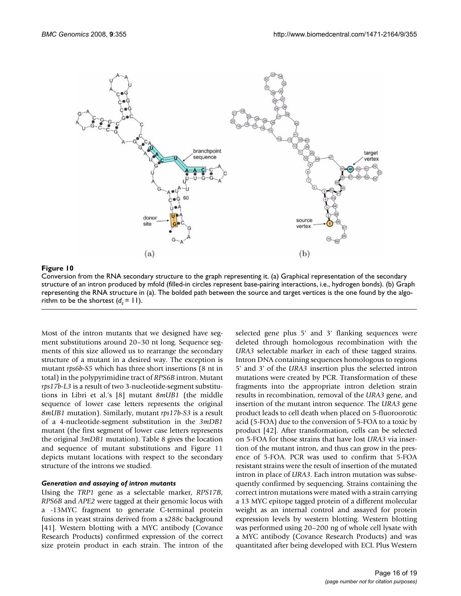

#### Figure 10

Conversion from the RNA secondary structure to the graph representing it. (a) Graphical representation of the secondary structure of an intron produced by mfold (filled-in circles represent base-pairing interactions, i.e., hydrogen bonds). (b) Graph representing the RNA structure in (a). The bolded path between the source and target vertices is the one found by the algorithm to be the shortest  $(d_s = 11)$ .

Most of the intron mutants that we designed have segment substitutions around 20–30 nt long. Sequence segments of this size allowed us to rearrange the secondary structure of a mutant in a desired way. The exception is mutant *rps6b-S5* which has three short insertions (8 nt in total) in the polypyrimidine tract of *RPS6B* intron. Mutant *rps17b-L3* is a result of two 3-nucleotide-segment substitutions in Libri et al.'s [8] mutant *8mUB1* (the middle sequence of lower case letters represents the original *8mUB1* mutation). Similarly, mutant *rps17b-S3* is a result of a 4-nucleotide-segment substitution in the *3mDB1* mutant (the first segment of lower case letters represents the original *3mDB1* mutation). Table 8 gives the location and sequence of mutant substitutions and Figure 11 depicts mutant locations with respect to the secondary structure of the introns we studied.

#### *Generation and assaying of intron mutants*

Using the *TRP1* gene as a selectable marker, *RPS17B*, *RPS6B* and *APE2* were tagged at their genomic locus with a -13MYC fragment to generate C-terminal protein fusions in yeast strains derived from a s288c background [41]. Western blotting with a MYC antibody (Covance Research Products) confirmed expression of the correct size protein product in each strain. The intron of the selected gene plus 5' and 3' flanking sequences were deleted through homologous recombination with the *URA3* selectable marker in each of these tagged strains. Intron DNA containing sequences homologous to regions 5' and 3' of the *URA3* insertion plus the selected intron mutations were created by PCR. Transformation of these fragments into the appropriate intron deletion strain results in recombination, removal of the *URA3* gene, and insertion of the mutant intron sequence. The *URA3* gene product leads to cell death when placed on 5-fluoroorotic acid (5-FOA) due to the conversion of 5-FOA to a toxic by product [42]. After transformation, cells can be selected on 5-FOA for those strains that have lost *URA3* via insertion of the mutant intron, and thus can grow in the presence of 5-FOA. PCR was used to confirm that 5-FOA resistant strains were the result of insertion of the mutated intron in place of *URA3*. Each intron mutation was subsequently confirmed by sequencing. Strains containing the correct intron mutations were mated with a strain carrying a 13 MYC epitope tagged protein of a different molecular weight as an internal control and assayed for protein expression levels by western blotting. Western blotting was performed using 20–200 ng of whole cell lysate with a MYC antibody (Covance Research Products) and was quantitated after being developed with ECL Plus Western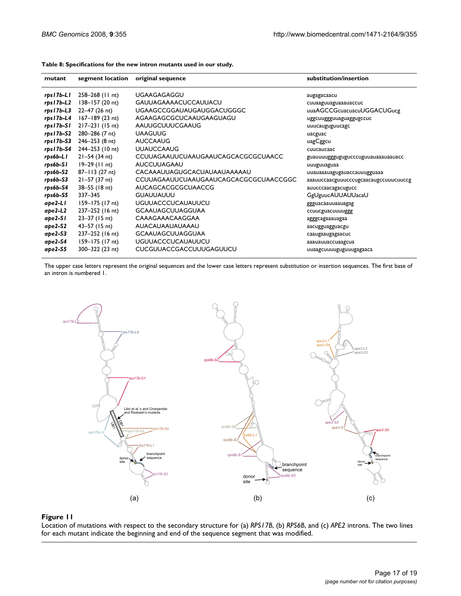| mutant      | segment location    | original sequence                     | substitution/insertion                |
|-------------|---------------------|---------------------------------------|---------------------------------------|
| rps17b-L1   | $258 - 268$ (11 nt) | <b>UGAAGAGAGGU</b>                    | augagacaacu                           |
| rps17b-L2   | $138 - 157(20)$ nt) | <b>GAUUAGAAAACUCCAUUACU</b>           | cuuaaguuaguaaauaccuc                  |
| $rps17b-13$ | 22-47 (26 nt)       | <b>UGAAGCCGGAUAUGAUGGACUGGGC</b>      | uuaAGCCGcuacuacuUGGACUGucg            |
| rps17b-L4   | $167 - 189$ (23 nt) | AGAAGAGCGCUCAAUGAAGUAGU               | uggcuuggguuaguaggugccuc               |
| rps17b-S1   | $217 - 231$ (15 nt) | AAUUGCUUUCGAAUG                       | uuucauguguucagc                       |
| rps17b-S2   | 280-286 (7 nt)      | <b>UAAGUUG</b>                        | uacguac                               |
| rps17b-S3   | $246 - 253$ (8 nt)  | <b>AUCCAAUG</b>                       | uagCggcu                              |
| rps I 7b-S4 | 244–253 (10 nt)     | <b>UUAUCCAAUG</b>                     | cuucaucaac                            |
| rps6b-LI    | $21 - 54$ (34 nt)   | CCUUAGAAUUCUAAUGAAUCAGCACGCGCUAACC    | guauuuugggugugucccuguuauaaauaauacc    |
| rps6b-SI    | 19–29 (11 nt)       | <b>AUCCUUAGAAU</b>                    | uuuguuaguaa                           |
| rps6b-S2    | 87-113 (27 nt)      | CACAAAUUAGUGCACUAUAAUAAAAAU           | uuauaaauagugauaccauuugguaaa           |
| rps6b-S3    | $21 - 57$ (37 nt)   | CCUUAGAAUUCUAAUGAAUCAGCACGCGCUAACCGGC | aaauuccaacguuucccugcaacaugccuuucuuccg |
| rps6b-S4    | 38-55 (18 nt)       | <b>AUCAGCACGCGCUAACCG</b>             | auucccaacagacugucc                    |
| rps6b-S5    | 337-345             | <b>GUAUUAUUU</b>                      | <b>GgUguucAUUAUUacaU</b>              |
| ape2-LI     | 159–175 (17 nt)     | <b>UGUUACCCUCAUAUUCU</b>              | ggguacaauuaauagag                     |
| $ape2-L2$   | 237-252 (16 nt)     | <b>GCAAUAGCUUAGGUAA</b>               | ccuucguacuuuuggg                      |
| ape2-SI     | $23 - 37$ (15 nt)   | CAAAGAAACAAGGAA                       | agggcagaaauagaa                       |
| ape2-S2     | $43 - 57$ (15 nt)   | AUACAUAAUAUAAAU                       | aacugguagguacgu                       |
| ape2-S3     | 237-252 (16 nt)     | <b>GCAAUAGCUUAGGUAA</b>               | caaugaaugagaacuc                      |
| ape2-S4     | 159-175 (17 nt)     | <b>UGUUACCCUCAUAUUCU</b>              | aaauauuaccuaagcua                     |
| ape2-S5     | 300-322 (23 nt)     | <b>CUCGUUACCGACCUUUGAGUUCU</b>        | uuaagcuuuuguguuugagaaca               |

**Table 8: Specifications for the new intron mutants used in our study.**

The upper case letters represent the original sequences and the lower case letters represent substitution or insertion sequences. The first base of an intron is numbered 1.



#### Location of mutations wi **Figure 11** th respect to the secondary structure for (a) *RPS17B*, (b) *RPS6B*, and (c) *APE2* introns

Location of mutations with respect to the secondary structure for (a) *RPS17B*, (b) *RPS6B*, and (c) *APE2* introns. The two lines for each mutant indicate the beginning and end of the sequence segment that was modified.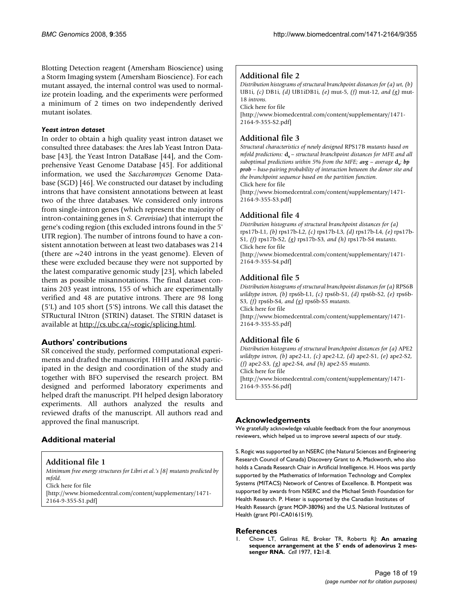Blotting Detection reagent (Amersham Bioscience) using a Storm Imaging system (Amersham Bioscience). For each mutant assayed, the internal control was used to normalize protein loading, and the experiments were performed a minimum of 2 times on two independently derived mutant isolates.

#### *Yeast intron dataset*

In order to obtain a high quality yeast intron dataset we consulted three databases: the Ares lab Yeast Intron Database [43], the Yeast Intron DataBase [44], and the Comprehensive Yeast Genome Database [45]. For additional information, we used the *Saccharomyces* Genome Database (SGD) [46]. We constructed our dataset by including introns that have consistent annotations between at least two of the three databases. We considered only introns from single-intron genes (which represent the majority of intron-containing genes in *S. Cerevisiae*) that interrupt the gene's coding region (this excluded introns found in the 5' UTR region). The number of introns found to have a consistent annotation between at least two databases was 214 (there are  $\sim$ 240 introns in the yeast genome). Eleven of these were excluded because they were not supported by the latest comparative genomic study [23], which labeled them as possible misannotations. The final dataset contains 203 yeast introns, 155 of which are experimentally verified and 48 are putative introns. There are 98 long (5'L) and 105 short (5'S) introns. We call this dataset the STRuctural INtron (STRIN) dataset. The STRIN dataset is available at [http://cs.ubc.ca/~rogic/splicing.html.](http://cs.ubc.ca/~rogic/splicing.html)

# **Authors' contributions**

SR conceived the study, performed computational experiments and drafted the manuscript. HHH and AKM participated in the design and coordination of the study and together with BFO supervised the research project. BM designed and performed laboratory experiments and helped draft the manuscript. PH helped design laboratory experiments. All authors analyzed the results and reviewed drafts of the manuscript. All authors read and approved the final manuscript.

# **Additional material**

# **Additional file 1**

*Minimum free energy structures for Libri et al.'s [8] mutants predicted by mfold.*

Click here for file

[\[http://www.biomedcentral.com/content/supplementary/1471-](http://www.biomedcentral.com/content/supplementary/1471-2164-9-355-S1.pdf) 2164-9-355-S1.pdf]

# **Additional file 2**

*Distribution histograms of structural branchpoint distances for (a) wt, (b)*  UB1i*, (c)* DB1i*, (d)* UB1iDB1i*, (e)* mut-5*, (f)* mut-12*, and (g)* mut-18 *introns.* Click here for file [\[http://www.biomedcentral.com/content/supplementary/1471-](http://www.biomedcentral.com/content/supplementary/1471-2164-9-355-S2.pdf)

2164-9-355-S2.pdf]

# **Additional file 3**

*Structural characteristics of newly designed* RPS17B *mutants based on mfold predictions:*  $\mathbf{d}_s$  – structural branchpoint distances for MFE and all *suboptimal predictions within 5% from the MFE;*  $avg - average d_s$ *; bp prob – base-pairing probability of interaction between the donor site and the branchpoint sequence based on the partition function.* Click here for file

[\[http://www.biomedcentral.com/content/supplementary/1471-](http://www.biomedcentral.com/content/supplementary/1471-2164-9-355-S3.pdf) 2164-9-355-S3.pdf]

# **Additional file 4**

*Distribution histograms of structural branchpoint distances for (a)*  rps17b-L1*, (b)* rps17b-L2*, (c)* rps17b-L3*, (d)* rps17b-L4*, (e)* rps17b-S1*, (f)* rps17b-S2*, (g)* rps17b-S3*, and (h)* rps17b-S4 *mutants.* Click here for file

[\[http://www.biomedcentral.com/content/supplementary/1471-](http://www.biomedcentral.com/content/supplementary/1471-2164-9-355-S4.pdf) 2164-9-355-S4.pdf]

# **Additional file 5**

*Distribution histograms of structural branchpoint distances for (a)* RPS6B *wildtype intron, (b)* rps6b-L1*, (c)* rps6b-S1*, (d)* rps6b-S2*, (e)* rps6b-S3*, (f)* rps6b-S4*, and (g)* rps6b-S5 *mutants.* Click here for file [\[http://www.biomedcentral.com/content/supplementary/1471-](http://www.biomedcentral.com/content/supplementary/1471-2164-9-355-S5.pdf) 2164-9-355-S5.pdf]

# **Additional file 6**

*Distribution histograms of structural branchpoint distances for (a)* APE2 *wildtype intron, (b)* ape2-L1*, (c)* ape2-L2*, (d)* ape2-S1*, (e)* ape2-S2*, (f)* ape2-S3*, (g)* ape2-S4*, and (h)* ape2-S5 *mutants.* Click here for file [\[http://www.biomedcentral.com/content/supplementary/1471-](http://www.biomedcentral.com/content/supplementary/1471-2164-9-355-S6.pdf) 2164-9-355-S6.pdf]

# **Acknowledgements**

We gratefully acknowledge valuable feedback from the four anonymous reviewers, which helped us to improve several aspects of our study.

S. Rogic was supported by an NSERC (the Natural Sciences and Engineering Research Council of Canada) Discovery Grant to A. Mackworth, who also holds a Canada Research Chair in Artificial Intelligence. H. Hoos was partly supported by the Mathematics of Information Technology and Complex Systems (MITACS) Network of Centres of Excellence. B. Montpetit was supported by awards from NSERC and the Michael Smith Foundation for Health Research. P. Hieter is supported by the Canadian Institutes of Health Research (grant MOP-38096) and the U.S. National Institutes of Health (grant P01-CA0161519).

# **References**

1. Chow LT, Gelinas RE, Broker TR, Roberts RJ: **[An amazing](http://www.ncbi.nlm.nih.gov/entrez/query.fcgi?cmd=Retrieve&db=PubMed&dopt=Abstract&list_uids=902310) [sequence arrangement at the 5' ends of adenovirus 2 mes](http://www.ncbi.nlm.nih.gov/entrez/query.fcgi?cmd=Retrieve&db=PubMed&dopt=Abstract&list_uids=902310)[senger RNA.](http://www.ncbi.nlm.nih.gov/entrez/query.fcgi?cmd=Retrieve&db=PubMed&dopt=Abstract&list_uids=902310)** *Cell* 1977, **12:**1-8.